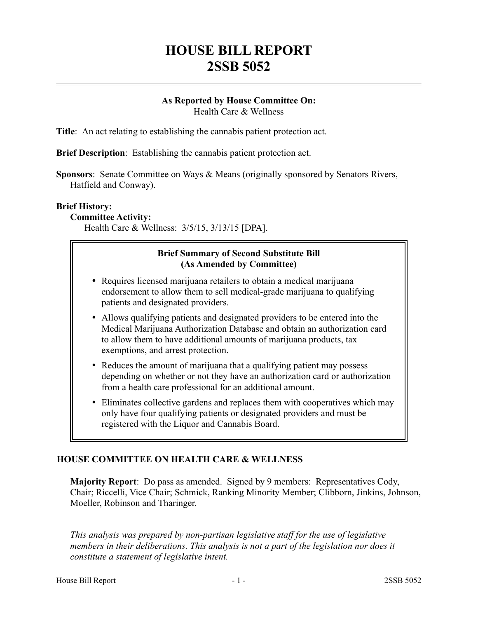# **HOUSE BILL REPORT 2SSB 5052**

#### **As Reported by House Committee On:** Health Care & Wellness

**Title**: An act relating to establishing the cannabis patient protection act.

**Brief Description**: Establishing the cannabis patient protection act.

**Sponsors**: Senate Committee on Ways & Means (originally sponsored by Senators Rivers, Hatfield and Conway).

#### **Brief History:**

**Committee Activity:**

Health Care & Wellness: 3/5/15, 3/13/15 [DPA].

# **Brief Summary of Second Substitute Bill (As Amended by Committee)**

- Requires licensed marijuana retailers to obtain a medical marijuana endorsement to allow them to sell medical-grade marijuana to qualifying patients and designated providers.
- Allows qualifying patients and designated providers to be entered into the Medical Marijuana Authorization Database and obtain an authorization card to allow them to have additional amounts of marijuana products, tax exemptions, and arrest protection.
- Reduces the amount of marijuana that a qualifying patient may possess depending on whether or not they have an authorization card or authorization from a health care professional for an additional amount.
- Eliminates collective gardens and replaces them with cooperatives which may only have four qualifying patients or designated providers and must be registered with the Liquor and Cannabis Board.

# **HOUSE COMMITTEE ON HEALTH CARE & WELLNESS**

**Majority Report**: Do pass as amended. Signed by 9 members: Representatives Cody, Chair; Riccelli, Vice Chair; Schmick, Ranking Minority Member; Clibborn, Jinkins, Johnson, Moeller, Robinson and Tharinger.

––––––––––––––––––––––

*This analysis was prepared by non-partisan legislative staff for the use of legislative members in their deliberations. This analysis is not a part of the legislation nor does it constitute a statement of legislative intent.*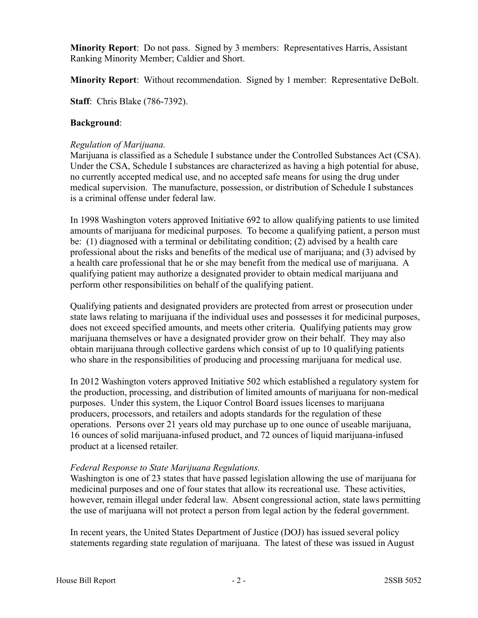**Minority Report**: Do not pass. Signed by 3 members: Representatives Harris, Assistant Ranking Minority Member; Caldier and Short.

**Minority Report**: Without recommendation. Signed by 1 member: Representative DeBolt.

**Staff**: Chris Blake (786-7392).

#### **Background**:

#### *Regulation of Marijuana.*

Marijuana is classified as a Schedule I substance under the Controlled Substances Act (CSA). Under the CSA, Schedule I substances are characterized as having a high potential for abuse, no currently accepted medical use, and no accepted safe means for using the drug under medical supervision. The manufacture, possession, or distribution of Schedule I substances is a criminal offense under federal law.

In 1998 Washington voters approved Initiative 692 to allow qualifying patients to use limited amounts of marijuana for medicinal purposes. To become a qualifying patient, a person must be: (1) diagnosed with a terminal or debilitating condition; (2) advised by a health care professional about the risks and benefits of the medical use of marijuana; and (3) advised by a health care professional that he or she may benefit from the medical use of marijuana. A qualifying patient may authorize a designated provider to obtain medical marijuana and perform other responsibilities on behalf of the qualifying patient.

Qualifying patients and designated providers are protected from arrest or prosecution under state laws relating to marijuana if the individual uses and possesses it for medicinal purposes, does not exceed specified amounts, and meets other criteria. Qualifying patients may grow marijuana themselves or have a designated provider grow on their behalf. They may also obtain marijuana through collective gardens which consist of up to 10 qualifying patients who share in the responsibilities of producing and processing marijuana for medical use.

In 2012 Washington voters approved Initiative 502 which established a regulatory system for the production, processing, and distribution of limited amounts of marijuana for non-medical purposes. Under this system, the Liquor Control Board issues licenses to marijuana producers, processors, and retailers and adopts standards for the regulation of these operations. Persons over 21 years old may purchase up to one ounce of useable marijuana, 16 ounces of solid marijuana-infused product, and 72 ounces of liquid marijuana-infused product at a licensed retailer.

# *Federal Response to State Marijuana Regulations.*

Washington is one of 23 states that have passed legislation allowing the use of marijuana for medicinal purposes and one of four states that allow its recreational use. These activities, however, remain illegal under federal law. Absent congressional action, state laws permitting the use of marijuana will not protect a person from legal action by the federal government.

In recent years, the United States Department of Justice (DOJ) has issued several policy statements regarding state regulation of marijuana. The latest of these was issued in August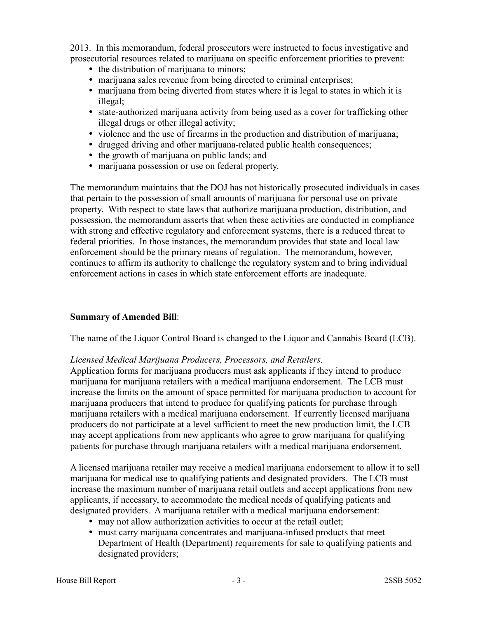2013. In this memorandum, federal prosecutors were instructed to focus investigative and prosecutorial resources related to marijuana on specific enforcement priorities to prevent:

- the distribution of marijuana to minors;
- marijuana sales revenue from being directed to criminal enterprises;
- marijuana from being diverted from states where it is legal to states in which it is illegal;
- state-authorized marijuana activity from being used as a cover for trafficking other illegal drugs or other illegal activity;
- violence and the use of firearms in the production and distribution of marijuana;
- drugged driving and other marijuana-related public health consequences;
- the growth of marijuana on public lands; and
- marijuana possession or use on federal property.

The memorandum maintains that the DOJ has not historically prosecuted individuals in cases that pertain to the possession of small amounts of marijuana for personal use on private property. With respect to state laws that authorize marijuana production, distribution, and possession, the memorandum asserts that when these activities are conducted in compliance with strong and effective regulatory and enforcement systems, there is a reduced threat to federal priorities. In those instances, the memorandum provides that state and local law enforcement should be the primary means of regulation. The memorandum, however, continues to affirm its authority to challenge the regulatory system and to bring individual enforcement actions in cases in which state enforcement efforts are inadequate.

# **Summary of Amended Bill**:

The name of the Liquor Control Board is changed to the Liquor and Cannabis Board (LCB).

–––––––––––––––––––––––––––––––––

# *Licensed Medical Marijuana Producers, Processors, and Retailers.*

Application forms for marijuana producers must ask applicants if they intend to produce marijuana for marijuana retailers with a medical marijuana endorsement. The LCB must increase the limits on the amount of space permitted for marijuana production to account for marijuana producers that intend to produce for qualifying patients for purchase through marijuana retailers with a medical marijuana endorsement. If currently licensed marijuana producers do not participate at a level sufficient to meet the new production limit, the LCB may accept applications from new applicants who agree to grow marijuana for qualifying patients for purchase through marijuana retailers with a medical marijuana endorsement.

A licensed marijuana retailer may receive a medical marijuana endorsement to allow it to sell marijuana for medical use to qualifying patients and designated providers. The LCB must increase the maximum number of marijuana retail outlets and accept applications from new applicants, if necessary, to accommodate the medical needs of qualifying patients and designated providers. A marijuana retailer with a medical marijuana endorsement:

- may not allow authorization activities to occur at the retail outlet;
- must carry marijuana concentrates and marijuana-infused products that meet Department of Health (Department) requirements for sale to qualifying patients and designated providers;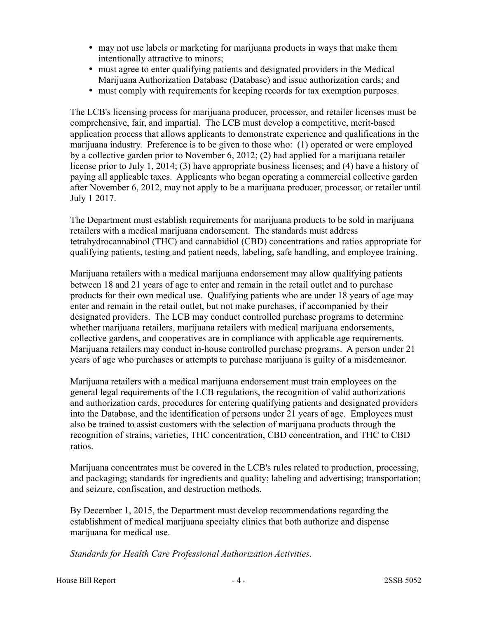- may not use labels or marketing for marijuana products in ways that make them intentionally attractive to minors;
- must agree to enter qualifying patients and designated providers in the Medical Marijuana Authorization Database (Database) and issue authorization cards; and
- must comply with requirements for keeping records for tax exemption purposes.

The LCB's licensing process for marijuana producer, processor, and retailer licenses must be comprehensive, fair, and impartial. The LCB must develop a competitive, merit-based application process that allows applicants to demonstrate experience and qualifications in the marijuana industry. Preference is to be given to those who: (1) operated or were employed by a collective garden prior to November 6, 2012; (2) had applied for a marijuana retailer license prior to July 1, 2014; (3) have appropriate business licenses; and (4) have a history of paying all applicable taxes. Applicants who began operating a commercial collective garden after November 6, 2012, may not apply to be a marijuana producer, processor, or retailer until July 1 2017.

The Department must establish requirements for marijuana products to be sold in marijuana retailers with a medical marijuana endorsement. The standards must address tetrahydrocannabinol (THC) and cannabidiol (CBD) concentrations and ratios appropriate for qualifying patients, testing and patient needs, labeling, safe handling, and employee training.

Marijuana retailers with a medical marijuana endorsement may allow qualifying patients between 18 and 21 years of age to enter and remain in the retail outlet and to purchase products for their own medical use. Qualifying patients who are under 18 years of age may enter and remain in the retail outlet, but not make purchases, if accompanied by their designated providers. The LCB may conduct controlled purchase programs to determine whether marijuana retailers, marijuana retailers with medical marijuana endorsements, collective gardens, and cooperatives are in compliance with applicable age requirements. Marijuana retailers may conduct in-house controlled purchase programs. A person under 21 years of age who purchases or attempts to purchase marijuana is guilty of a misdemeanor.

Marijuana retailers with a medical marijuana endorsement must train employees on the general legal requirements of the LCB regulations, the recognition of valid authorizations and authorization cards, procedures for entering qualifying patients and designated providers into the Database, and the identification of persons under 21 years of age. Employees must also be trained to assist customers with the selection of marijuana products through the recognition of strains, varieties, THC concentration, CBD concentration, and THC to CBD ratios.

Marijuana concentrates must be covered in the LCB's rules related to production, processing, and packaging; standards for ingredients and quality; labeling and advertising; transportation; and seizure, confiscation, and destruction methods.

By December 1, 2015, the Department must develop recommendations regarding the establishment of medical marijuana specialty clinics that both authorize and dispense marijuana for medical use.

*Standards for Health Care Professional Authorization Activities.*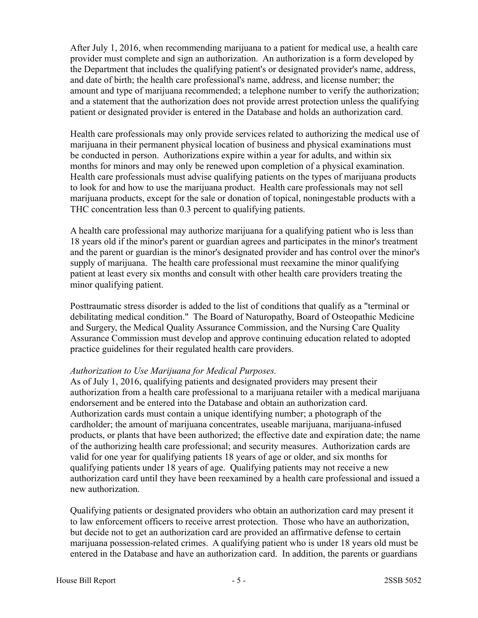After July 1, 2016, when recommending marijuana to a patient for medical use, a health care provider must complete and sign an authorization. An authorization is a form developed by the Department that includes the qualifying patient's or designated provider's name, address, and date of birth; the health care professional's name, address, and license number; the amount and type of marijuana recommended; a telephone number to verify the authorization; and a statement that the authorization does not provide arrest protection unless the qualifying patient or designated provider is entered in the Database and holds an authorization card.

Health care professionals may only provide services related to authorizing the medical use of marijuana in their permanent physical location of business and physical examinations must be conducted in person. Authorizations expire within a year for adults, and within six months for minors and may only be renewed upon completion of a physical examination. Health care professionals must advise qualifying patients on the types of marijuana products to look for and how to use the marijuana product. Health care professionals may not sell marijuana products, except for the sale or donation of topical, noningestable products with a THC concentration less than 0.3 percent to qualifying patients.

A health care professional may authorize marijuana for a qualifying patient who is less than 18 years old if the minor's parent or guardian agrees and participates in the minor's treatment and the parent or guardian is the minor's designated provider and has control over the minor's supply of marijuana. The health care professional must reexamine the minor qualifying patient at least every six months and consult with other health care providers treating the minor qualifying patient.

Posttraumatic stress disorder is added to the list of conditions that qualify as a "terminal or debilitating medical condition." The Board of Naturopathy, Board of Osteopathic Medicine and Surgery, the Medical Quality Assurance Commission, and the Nursing Care Quality Assurance Commission must develop and approve continuing education related to adopted practice guidelines for their regulated health care providers.

#### *Authorization to Use Marijuana for Medical Purposes.*

As of July 1, 2016, qualifying patients and designated providers may present their authorization from a health care professional to a marijuana retailer with a medical marijuana endorsement and be entered into the Database and obtain an authorization card. Authorization cards must contain a unique identifying number; a photograph of the cardholder; the amount of marijuana concentrates, useable marijuana, marijuana-infused products, or plants that have been authorized; the effective date and expiration date; the name of the authorizing health care professional; and security measures. Authorization cards are valid for one year for qualifying patients 18 years of age or older, and six months for qualifying patients under 18 years of age. Qualifying patients may not receive a new authorization card until they have been reexamined by a health care professional and issued a new authorization.

Qualifying patients or designated providers who obtain an authorization card may present it to law enforcement officers to receive arrest protection. Those who have an authorization, but decide not to get an authorization card are provided an affirmative defense to certain marijuana possession-related crimes. A qualifying patient who is under 18 years old must be entered in the Database and have an authorization card. In addition, the parents or guardians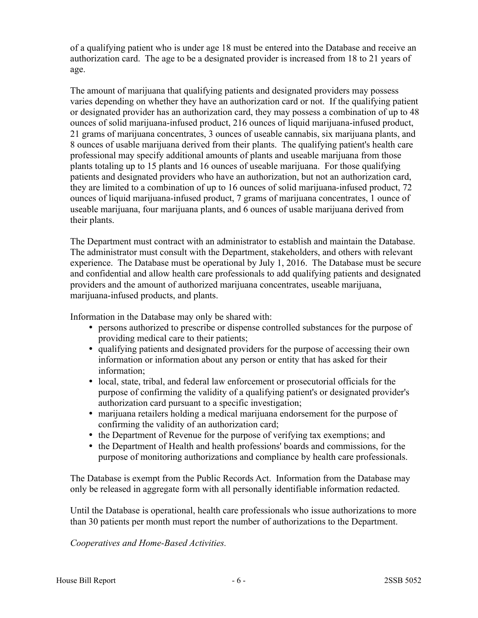of a qualifying patient who is under age 18 must be entered into the Database and receive an authorization card. The age to be a designated provider is increased from 18 to 21 years of age.

The amount of marijuana that qualifying patients and designated providers may possess varies depending on whether they have an authorization card or not. If the qualifying patient or designated provider has an authorization card, they may possess a combination of up to 48 ounces of solid marijuana-infused product, 216 ounces of liquid marijuana-infused product, 21 grams of marijuana concentrates, 3 ounces of useable cannabis, six marijuana plants, and 8 ounces of usable marijuana derived from their plants. The qualifying patient's health care professional may specify additional amounts of plants and useable marijuana from those plants totaling up to 15 plants and 16 ounces of useable marijuana. For those qualifying patients and designated providers who have an authorization, but not an authorization card, they are limited to a combination of up to 16 ounces of solid marijuana-infused product, 72 ounces of liquid marijuana-infused product, 7 grams of marijuana concentrates, 1 ounce of useable marijuana, four marijuana plants, and 6 ounces of usable marijuana derived from their plants.

The Department must contract with an administrator to establish and maintain the Database. The administrator must consult with the Department, stakeholders, and others with relevant experience. The Database must be operational by July 1, 2016. The Database must be secure and confidential and allow health care professionals to add qualifying patients and designated providers and the amount of authorized marijuana concentrates, useable marijuana, marijuana-infused products, and plants.

Information in the Database may only be shared with:

- persons authorized to prescribe or dispense controlled substances for the purpose of providing medical care to their patients;
- qualifying patients and designated providers for the purpose of accessing their own information or information about any person or entity that has asked for their information;
- local, state, tribal, and federal law enforcement or prosecutorial officials for the purpose of confirming the validity of a qualifying patient's or designated provider's authorization card pursuant to a specific investigation;
- marijuana retailers holding a medical marijuana endorsement for the purpose of confirming the validity of an authorization card;
- the Department of Revenue for the purpose of verifying tax exemptions; and
- the Department of Health and health professions' boards and commissions, for the purpose of monitoring authorizations and compliance by health care professionals.

The Database is exempt from the Public Records Act. Information from the Database may only be released in aggregate form with all personally identifiable information redacted.

Until the Database is operational, health care professionals who issue authorizations to more than 30 patients per month must report the number of authorizations to the Department.

*Cooperatives and Home-Based Activities.*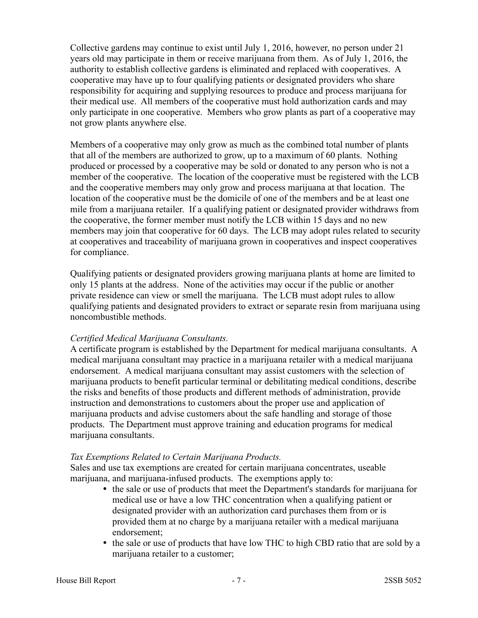Collective gardens may continue to exist until July 1, 2016, however, no person under 21 years old may participate in them or receive marijuana from them. As of July 1, 2016, the authority to establish collective gardens is eliminated and replaced with cooperatives. A cooperative may have up to four qualifying patients or designated providers who share responsibility for acquiring and supplying resources to produce and process marijuana for their medical use. All members of the cooperative must hold authorization cards and may only participate in one cooperative. Members who grow plants as part of a cooperative may not grow plants anywhere else.

Members of a cooperative may only grow as much as the combined total number of plants that all of the members are authorized to grow, up to a maximum of 60 plants. Nothing produced or processed by a cooperative may be sold or donated to any person who is not a member of the cooperative. The location of the cooperative must be registered with the LCB and the cooperative members may only grow and process marijuana at that location. The location of the cooperative must be the domicile of one of the members and be at least one mile from a marijuana retailer. If a qualifying patient or designated provider withdraws from the cooperative, the former member must notify the LCB within 15 days and no new members may join that cooperative for 60 days. The LCB may adopt rules related to security at cooperatives and traceability of marijuana grown in cooperatives and inspect cooperatives for compliance.

Qualifying patients or designated providers growing marijuana plants at home are limited to only 15 plants at the address. None of the activities may occur if the public or another private residence can view or smell the marijuana. The LCB must adopt rules to allow qualifying patients and designated providers to extract or separate resin from marijuana using noncombustible methods.

# *Certified Medical Marijuana Consultants.*

A certificate program is established by the Department for medical marijuana consultants. A medical marijuana consultant may practice in a marijuana retailer with a medical marijuana endorsement. A medical marijuana consultant may assist customers with the selection of marijuana products to benefit particular terminal or debilitating medical conditions, describe the risks and benefits of those products and different methods of administration, provide instruction and demonstrations to customers about the proper use and application of marijuana products and advise customers about the safe handling and storage of those products. The Department must approve training and education programs for medical marijuana consultants.

# *Tax Exemptions Related to Certain Marijuana Products.*

Sales and use tax exemptions are created for certain marijuana concentrates, useable marijuana, and marijuana-infused products. The exemptions apply to:

- the sale or use of products that meet the Department's standards for marijuana for medical use or have a low THC concentration when a qualifying patient or designated provider with an authorization card purchases them from or is provided them at no charge by a marijuana retailer with a medical marijuana endorsement;
- the sale or use of products that have low THC to high CBD ratio that are sold by a marijuana retailer to a customer;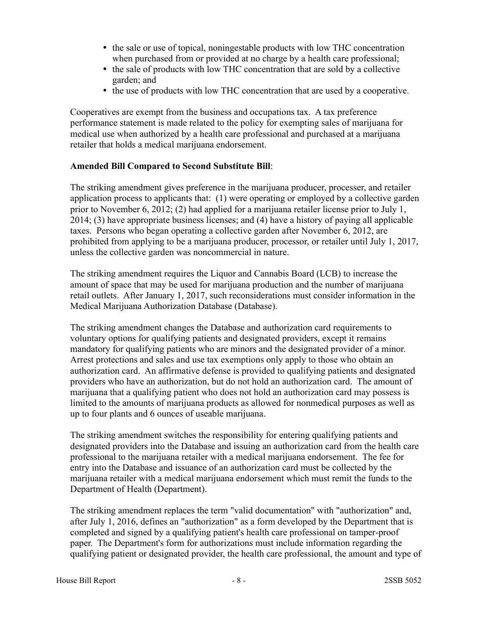- the sale or use of topical, noningestable products with low THC concentration when purchased from or provided at no charge by a health care professional;
- the sale of products with low THC concentration that are sold by a collective garden; and
- the use of products with low THC concentration that are used by a cooperative.

Cooperatives are exempt from the business and occupations tax. A tax preference performance statement is made related to the policy for exempting sales of marijuana for medical use when authorized by a health care professional and purchased at a marijuana retailer that holds a medical marijuana endorsement.

#### **Amended Bill Compared to Second Substitute Bill**:

The striking amendment gives preference in the marijuana producer, processer, and retailer application process to applicants that: (1) were operating or employed by a collective garden prior to November 6, 2012; (2) had applied for a marijuana retailer license prior to July 1, 2014; (3) have appropriate business licenses; and (4) have a history of paying all applicable taxes. Persons who began operating a collective garden after November 6, 2012, are prohibited from applying to be a marijuana producer, processor, or retailer until July 1, 2017, unless the collective garden was noncommercial in nature.

The striking amendment requires the Liquor and Cannabis Board (LCB) to increase the amount of space that may be used for marijuana production and the number of marijuana retail outlets. After January 1, 2017, such reconsiderations must consider information in the Medical Marijuana Authorization Database (Database).

The striking amendment changes the Database and authorization card requirements to voluntary options for qualifying patients and designated providers, except it remains mandatory for qualifying patients who are minors and the designated provider of a minor. Arrest protections and sales and use tax exemptions only apply to those who obtain an authorization card. An affirmative defense is provided to qualifying patients and designated providers who have an authorization, but do not hold an authorization card. The amount of marijuana that a qualifying patient who does not hold an authorization card may possess is limited to the amounts of marijuana products as allowed for nonmedical purposes as well as up to four plants and 6 ounces of useable marijuana.

The striking amendment switches the responsibility for entering qualifying patients and designated providers into the Database and issuing an authorization card from the health care professional to the marijuana retailer with a medical marijuana endorsement. The fee for entry into the Database and issuance of an authorization card must be collected by the marijuana retailer with a medical marijuana endorsement which must remit the funds to the Department of Health (Department).

The striking amendment replaces the term "valid documentation" with "authorization" and, after July 1, 2016, defines an "authorization" as a form developed by the Department that is completed and signed by a qualifying patient's health care professional on tamper-proof paper. The Department's form for authorizations must include information regarding the qualifying patient or designated provider, the health care professional, the amount and type of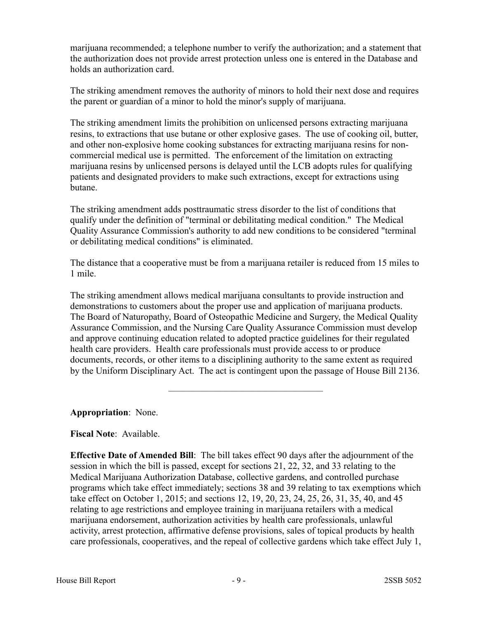marijuana recommended; a telephone number to verify the authorization; and a statement that the authorization does not provide arrest protection unless one is entered in the Database and holds an authorization card.

The striking amendment removes the authority of minors to hold their next dose and requires the parent or guardian of a minor to hold the minor's supply of marijuana.

The striking amendment limits the prohibition on unlicensed persons extracting marijuana resins, to extractions that use butane or other explosive gases. The use of cooking oil, butter, and other non-explosive home cooking substances for extracting marijuana resins for noncommercial medical use is permitted. The enforcement of the limitation on extracting marijuana resins by unlicensed persons is delayed until the LCB adopts rules for qualifying patients and designated providers to make such extractions, except for extractions using butane.

The striking amendment adds posttraumatic stress disorder to the list of conditions that qualify under the definition of "terminal or debilitating medical condition." The Medical Quality Assurance Commission's authority to add new conditions to be considered "terminal or debilitating medical conditions" is eliminated.

The distance that a cooperative must be from a marijuana retailer is reduced from 15 miles to 1 mile.

The striking amendment allows medical marijuana consultants to provide instruction and demonstrations to customers about the proper use and application of marijuana products. The Board of Naturopathy, Board of Osteopathic Medicine and Surgery, the Medical Quality Assurance Commission, and the Nursing Care Quality Assurance Commission must develop and approve continuing education related to adopted practice guidelines for their regulated health care providers. Health care professionals must provide access to or produce documents, records, or other items to a disciplining authority to the same extent as required by the Uniform Disciplinary Act. The act is contingent upon the passage of House Bill 2136.

–––––––––––––––––––––––––––––––––

**Appropriation**: None.

# **Fiscal Note**: Available.

**Effective Date of Amended Bill**: The bill takes effect 90 days after the adjournment of the session in which the bill is passed, except for sections 21, 22, 32, and 33 relating to the Medical Marijuana Authorization Database, collective gardens, and controlled purchase programs which take effect immediately; sections 38 and 39 relating to tax exemptions which take effect on October 1, 2015; and sections 12, 19, 20, 23, 24, 25, 26, 31, 35, 40, and 45 relating to age restrictions and employee training in marijuana retailers with a medical marijuana endorsement, authorization activities by health care professionals, unlawful activity, arrest protection, affirmative defense provisions, sales of topical products by health care professionals, cooperatives, and the repeal of collective gardens which take effect July 1,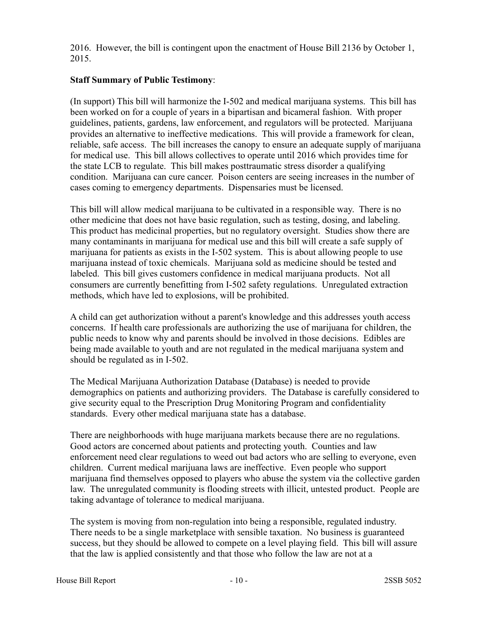2016. However, the bill is contingent upon the enactment of House Bill 2136 by October 1, 2015.

# **Staff Summary of Public Testimony**:

(In support) This bill will harmonize the I-502 and medical marijuana systems. This bill has been worked on for a couple of years in a bipartisan and bicameral fashion. With proper guidelines, patients, gardens, law enforcement, and regulators will be protected. Marijuana provides an alternative to ineffective medications. This will provide a framework for clean, reliable, safe access. The bill increases the canopy to ensure an adequate supply of marijuana for medical use. This bill allows collectives to operate until 2016 which provides time for the state LCB to regulate. This bill makes posttraumatic stress disorder a qualifying condition. Marijuana can cure cancer. Poison centers are seeing increases in the number of cases coming to emergency departments. Dispensaries must be licensed.

This bill will allow medical marijuana to be cultivated in a responsible way. There is no other medicine that does not have basic regulation, such as testing, dosing, and labeling. This product has medicinal properties, but no regulatory oversight. Studies show there are many contaminants in marijuana for medical use and this bill will create a safe supply of marijuana for patients as exists in the I-502 system. This is about allowing people to use marijuana instead of toxic chemicals. Marijuana sold as medicine should be tested and labeled. This bill gives customers confidence in medical marijuana products. Not all consumers are currently benefitting from I-502 safety regulations. Unregulated extraction methods, which have led to explosions, will be prohibited.

A child can get authorization without a parent's knowledge and this addresses youth access concerns. If health care professionals are authorizing the use of marijuana for children, the public needs to know why and parents should be involved in those decisions. Edibles are being made available to youth and are not regulated in the medical marijuana system and should be regulated as in I-502.

The Medical Marijuana Authorization Database (Database) is needed to provide demographics on patients and authorizing providers. The Database is carefully considered to give security equal to the Prescription Drug Monitoring Program and confidentiality standards. Every other medical marijuana state has a database.

There are neighborhoods with huge marijuana markets because there are no regulations. Good actors are concerned about patients and protecting youth. Counties and law enforcement need clear regulations to weed out bad actors who are selling to everyone, even children. Current medical marijuana laws are ineffective. Even people who support marijuana find themselves opposed to players who abuse the system via the collective garden law. The unregulated community is flooding streets with illicit, untested product. People are taking advantage of tolerance to medical marijuana.

The system is moving from non-regulation into being a responsible, regulated industry. There needs to be a single marketplace with sensible taxation. No business is guaranteed success, but they should be allowed to compete on a level playing field. This bill will assure that the law is applied consistently and that those who follow the law are not at a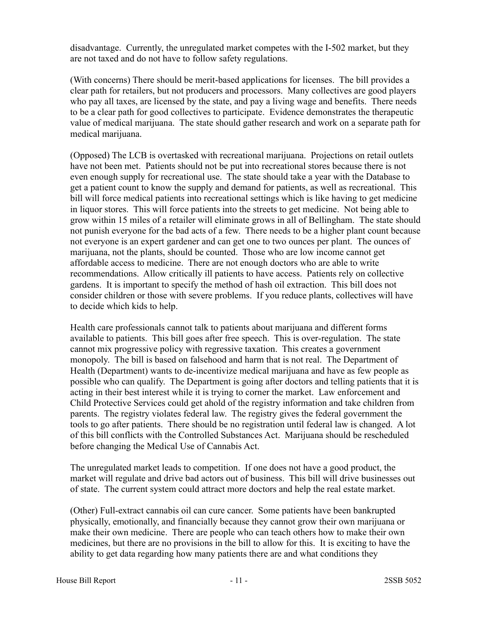disadvantage. Currently, the unregulated market competes with the I-502 market, but they are not taxed and do not have to follow safety regulations.

(With concerns) There should be merit-based applications for licenses. The bill provides a clear path for retailers, but not producers and processors. Many collectives are good players who pay all taxes, are licensed by the state, and pay a living wage and benefits. There needs to be a clear path for good collectives to participate. Evidence demonstrates the therapeutic value of medical marijuana. The state should gather research and work on a separate path for medical marijuana.

(Opposed) The LCB is overtasked with recreational marijuana. Projections on retail outlets have not been met. Patients should not be put into recreational stores because there is not even enough supply for recreational use. The state should take a year with the Database to get a patient count to know the supply and demand for patients, as well as recreational. This bill will force medical patients into recreational settings which is like having to get medicine in liquor stores. This will force patients into the streets to get medicine. Not being able to grow within 15 miles of a retailer will eliminate grows in all of Bellingham. The state should not punish everyone for the bad acts of a few. There needs to be a higher plant count because not everyone is an expert gardener and can get one to two ounces per plant. The ounces of marijuana, not the plants, should be counted. Those who are low income cannot get affordable access to medicine. There are not enough doctors who are able to write recommendations. Allow critically ill patients to have access. Patients rely on collective gardens. It is important to specify the method of hash oil extraction. This bill does not consider children or those with severe problems. If you reduce plants, collectives will have to decide which kids to help.

Health care professionals cannot talk to patients about marijuana and different forms available to patients. This bill goes after free speech. This is over-regulation. The state cannot mix progressive policy with regressive taxation. This creates a government monopoly. The bill is based on falsehood and harm that is not real. The Department of Health (Department) wants to de-incentivize medical marijuana and have as few people as possible who can qualify. The Department is going after doctors and telling patients that it is acting in their best interest while it is trying to corner the market. Law enforcement and Child Protective Services could get ahold of the registry information and take children from parents. The registry violates federal law. The registry gives the federal government the tools to go after patients. There should be no registration until federal law is changed. A lot of this bill conflicts with the Controlled Substances Act. Marijuana should be rescheduled before changing the Medical Use of Cannabis Act.

The unregulated market leads to competition. If one does not have a good product, the market will regulate and drive bad actors out of business. This bill will drive businesses out of state. The current system could attract more doctors and help the real estate market.

(Other) Full-extract cannabis oil can cure cancer. Some patients have been bankrupted physically, emotionally, and financially because they cannot grow their own marijuana or make their own medicine. There are people who can teach others how to make their own medicines, but there are no provisions in the bill to allow for this. It is exciting to have the ability to get data regarding how many patients there are and what conditions they